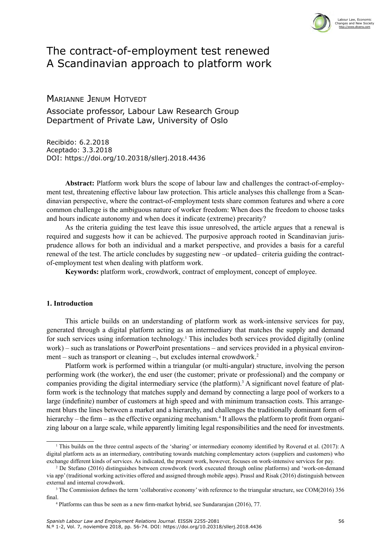

# The contract-of-employment test renewed A Scandinavian approach to platform work

## Marianne Jenum Hotvedt

Associate professor, Labour Law Research Group Department of Private Law, University of Oslo

Recibido: 6.2.2018 Aceptado: 3.3.2018 DOI: <https://doi.org/10.20318/sllerj.2018.4436>

**Abstract:** Platform work blurs the scope of labour law and challenges the contract-of-employment test, threatening effective labour law protection. This article analyses this challenge from a Scandinavian perspective, where the contract-of-employment tests share common features and where a core common challenge is the ambiguous nature of worker freedom: When does the freedom to choose tasks and hours indicate autonomy and when does it indicate (extreme) precarity?

As the criteria guiding the test leave this issue unresolved, the article argues that a renewal is required and suggests how it can be achieved. The purposive approach rooted in Scandinavian jurisprudence allows for both an individual and a market perspective, and provides a basis for a careful renewal of the test. The article concludes by suggesting new –or updated– criteria guiding the contractof-employment test when dealing with platform work.

**Keywords:** platform work, crowdwork, contract of employment, concept of employee.

## **1. Introduction**

This article builds on an understanding of platform work as work-intensive services for pay, generated through a digital platform acting as an intermediary that matches the supply and demand for such services using information technology.<sup>1</sup> This includes both services provided digitally (online work) – such as translations or PowerPoint presentations – and services provided in a physical environment – such as transport or cleaning –, but excludes internal crowdwork.2

Platform work is performed within a triangular (or multi-angular) structure, involving the person performing work (the worker), the end user (the customer; private or professional) and the company or companies providing the digital intermediary service (the platform).<sup>3</sup> A significant novel feature of platform work is the technology that matches supply and demand by connecting a large pool of workers to a large (indefinite) number of customers at high speed and with minimum transaction costs. This arrangement blurs the lines between a market and a hierarchy, and challenges the traditionally dominant form of hierarchy – the firm – as the effective organizing mechanism.<sup>4</sup> It allows the platform to profit from organizing labour on a large scale, while apparently limiting legal responsibilities and the need for investments.

<sup>1</sup> This builds on the three central aspects of the 'sharing' or intermediary economy identified by Roverud et al. (2017): A digital platform acts as an intermediary, contributing towards matching complementary actors (suppliers and customers) who exchange different kinds of services. As indicated, the present work, however, focuses on work-intensive services for pay.<br><sup>2</sup> De Stefano (2016) distinguishes between crowdwork (work executed through online platforms) and

via app' (traditional working activities offered and assigned through mobile apps). Prassl and Risak (2016) distinguish between external and internal crowdwork.

<sup>&</sup>lt;sup>3</sup> The Commission defines the term 'collaborative economy' with reference to the triangular structure, see COM(2016) 356 final.

<sup>4</sup> Platforms can thus be seen as a new firm-market hybrid, see Sundararajan (2016), 77.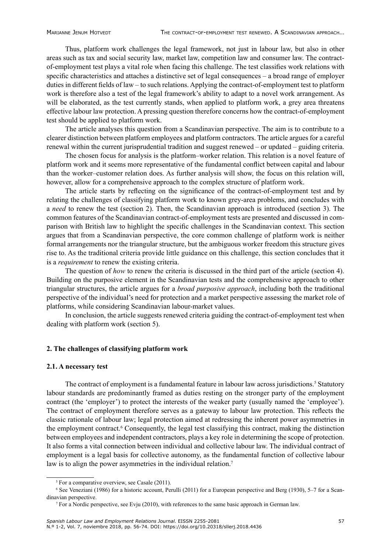Thus, platform work challenges the legal framework, not just in labour law, but also in other areas such as tax and social security law, market law, competition law and consumer law. The contractof-employment test plays a vital role when facing this challenge. The test classifies work relations with specific characteristics and attaches a distinctive set of legal consequences – a broad range of employer duties in different fields of law – to such relations. Applying the contract-of-employment test to platform work is therefore also a test of the legal framework's ability to adapt to a novel work arrangement. As will be elaborated, as the test currently stands, when applied to platform work, a grey area threatens effective labour law protection. A pressing question therefore concerns how the contract-of-employment test should be applied to platform work.

The article analyses this question from a Scandinavian perspective. The aim is to contribute to a clearer distinction between platform employees and platform contractors. The article argues for a careful renewal within the current jurisprudential tradition and suggest renewed – or updated – guiding criteria.

The chosen focus for analysis is the platform–worker relation. This relation is a novel feature of platform work and it seems more representative of the fundamental conflict between capital and labour than the worker–customer relation does. As further analysis will show, the focus on this relation will, however, allow for a comprehensive approach to the complex structure of platform work.

The article starts by reflecting on the significance of the contract-of-employment test and by relating the challenges of classifying platform work to known grey-area problems, and concludes with a *need* to renew the test (section 2). Then, the Scandinavian approach is introduced (section 3). The common features of the Scandinavian contract-of-employment tests are presented and discussed in comparison with British law to highlight the specific challenges in the Scandinavian context. This section argues that from a Scandinavian perspective, the core common challenge of platform work is neither formal arrangements nor the triangular structure, but the ambiguous worker freedom this structure gives rise to. As the traditional criteria provide little guidance on this challenge, this section concludes that it is a *requirement* to renew the existing criteria.

The question of *how* to renew the criteria is discussed in the third part of the article (section 4). Building on the purposive element in the Scandinavian tests and the comprehensive approach to other triangular structures, the article argues for a *broad purposive approach*, including both the traditional perspective of the individual's need for protection and a market perspective assessing the market role of platforms, while considering Scandinavian labour-market values.

In conclusion, the article suggests renewed criteria guiding the contract-of-employment test when dealing with platform work (section 5).

#### **2. The challenges of classifying platform work**

#### **2.1. A necessary test**

The contract of employment is a fundamental feature in labour law across jurisdictions.<sup>5</sup> Statutory labour standards are predominantly framed as duties resting on the stronger party of the employment contract (the 'employer') to protect the interests of the weaker party (usually named the 'employee'). The contract of employment therefore serves as a gateway to labour law protection. This reflects the classic rationale of labour law; legal protection aimed at redressing the inherent power asymmetries in the employment contract.<sup>6</sup> Consequently, the legal test classifying this contract, making the distinction between employees and independent contractors, plays a key role in determining the scope of protection. It also forms a vital connection between individual and collective labour law. The individual contract of employment is a legal basis for collective autonomy, as the fundamental function of collective labour law is to align the power asymmetries in the individual relation.<sup>7</sup>

<sup>&</sup>lt;sup>5</sup> For a comparative overview, see Casale (2011).

<sup>6</sup> See Veneziani (1986) for a historic account, Perulli (2011) for a European perspective and Berg (1930), 5–7 for a Scandinavian perspective.

<sup>7</sup> For a Nordic perspective, see Evju (2010), with references to the same basic approach in German law.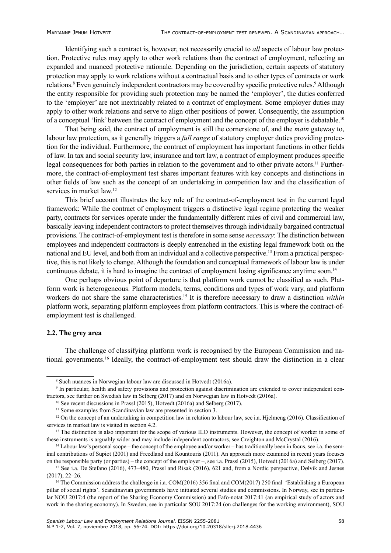Identifying such a contract is, however, not necessarily crucial to *all* aspects of labour law protection. Protective rules may apply to other work relations than the contract of employment, reflecting an expanded and nuanced protective rationale. Depending on the jurisdiction, certain aspects of statutory protection may apply to work relations without a contractual basis and to other types of contracts or work relations.<sup>8</sup> Even genuinely independent contractors may be covered by specific protective rules.<sup>9</sup> Although the entity responsible for providing such protection may be named the 'employer', the duties conferred to the 'employer' are not inextricably related to a contract of employment. Some employer duties may apply to other work relations and serve to align other positions of power. Consequently, the assumption of a conceptual 'link' between the contract of employment and the concept of the employer is debatable.<sup>10</sup>

That being said, the contract of employment is still the cornerstone of, and the *main* gateway to, labour law protection, as it generally triggers a *full range* of statutory employer duties providing protection for the individual. Furthermore, the contract of employment has important functions in other fields of law. In tax and social security law, insurance and tort law, a contract of employment produces specific legal consequences for both parties in relation to the government and to other private actors.<sup>11</sup> Furthermore, the contract-of-employment test shares important features with key concepts and distinctions in other fields of law such as the concept of an undertaking in competition law and the classification of services in market law.<sup>12</sup>

This brief account illustrates the key role of the contract-of-employment test in the current legal framework: While the contract of employment triggers a distinctive legal regime protecting the weaker party, contracts for services operate under the fundamentally different rules of civil and commercial law, basically leaving independent contractors to protect themselves through individually bargained contractual provisions. The contract-of-employment test is therefore in some sense *necessary*: The distinction between employees and independent contractors is deeply entrenched in the existing legal framework both on the national and EU level, and both from an individual and a collective perspective.13 From a practical perspective, this is not likely to change. Although the foundation and conceptual framework of labour law is under continuous debate, it is hard to imagine the contract of employment losing significance anytime soon.<sup>14</sup>

One perhaps obvious point of departure is that platform work cannot be classified as such. Platform work is heterogeneous. Platform models, terms, conditions and types of work vary, and platform workers do not share the same characteristics.<sup>15</sup> It is therefore necessary to draw a distinction *within* platform work, separating platform employees from platform contractors. This is where the contract-ofemployment test is challenged.

#### **2.2. The grey area**

The challenge of classifying platform work is recognised by the European Commission and national governments.<sup>16</sup> Ideally, the contract-of-employment test should draw the distinction in a clear

<sup>8</sup> Such nuances in Norwegian labour law are discussed in Hotvedt (2016a).

<sup>9</sup> In particular, health and safety provisions and protection against discrimination are extended to cover independent contractors, see further on Swedish law in Selberg (2017) and on Norwegian law in Hotvedt (2016a). 10 See recent discussions in Prassl (2015), Hotvedt (2016a) and Selberg (2017).

<sup>&</sup>lt;sup>11</sup> Some examples from Scandinavian law are presented in section 3.

<sup>&</sup>lt;sup>12</sup> On the concept of an undertaking in competition law in relation to labour law, see i.a. Hjelmeng (2016). Classification of services in market law is visited in section 4.2.

<sup>&</sup>lt;sup>13</sup> The distinction is also important for the scope of various ILO instruments. However, the concept of worker in some of these instruments is arguably wider and may include independent contractors, see Creighton and McCrystal (2016).

<sup>&</sup>lt;sup>14</sup> Labour law's personal scope – the concept of the employee and/or worker – has traditionally been in focus, see i.a. the seminal contributions of Supiot (2001) and Freedland and Kountouris (2011). An approach more examined in recent years focuses on the responsible party (or parties) – the concept of the employer –, see i.a. Prassl (2015), Hotvedt (2016a) and Selberg (2017).

<sup>15</sup> See i.a. De Stefano (2016), 473–480, Prassl and Risak (2016), 621 and, from a Nordic perspective, Dølvik and Jesnes (2017), 22–26.

<sup>&</sup>lt;sup>16</sup> The Commission address the challenge in i.a.  $COM(2016)$  356 final and  $COM(2017)$  250 final 'Establishing a European pillar of social rights'. Scandinavian governments have initiated several studies and commissions. In Norway, see in particular NOU 2017:4 (the report of the Sharing Economy Commission) and Fafo-notat 2017:41 (an empirical study of actors and work in the sharing economy). In Sweden, see in particular SOU 2017:24 (on challenges for the working environment), SOU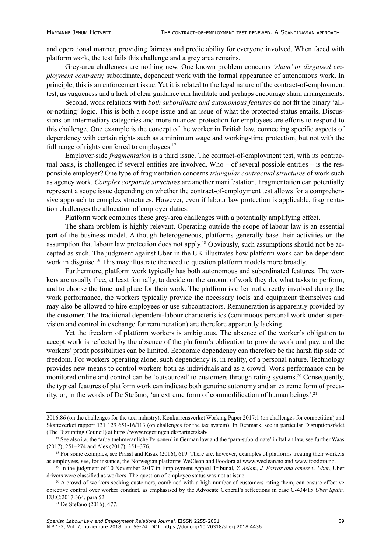and operational manner, providing fairness and predictability for everyone involved. When faced with platform work, the test fails this challenge and a grey area remains.

Grey-area challenges are nothing new. One known problem concerns *'sham' or disguised employment contracts;* subordinate, dependent work with the formal appearance of autonomous work. In principle, this is an enforcement issue. Yet it is related to the legal nature of the contract-of-employment test, as vagueness and a lack of clear guidance can facilitate and perhaps encourage sham arrangements.

Second, work relations with *both subordinate and autonomous features* do not fit the binary 'allor-nothing' logic. This is both a scope issue and an issue of what the protected-status entails. Discussions on intermediary categories and more nuanced protection for employees are efforts to respond to this challenge. One example is the concept of the worker in British law, connecting specific aspects of dependency with certain rights such as a minimum wage and working-time protection, but not with the full range of rights conferred to employees.<sup>17</sup>

Employer-side *fragmentation* is a third issue. The contract-of-employment test, with its contractual basis, is challenged if several entities are involved. Who – of several possible entities – is the responsible employer? One type of fragmentation concerns *triangular contractual structures* of work such as agency work. *Complex corporate structures* are another manifestation. Fragmentation can potentially represent a scope issue depending on whether the contract-of-employment test allows for a comprehensive approach to complex structures. However, even if labour law protection is applicable, fragmentation challenges the allocation of employer duties.

Platform work combines these grey-area challenges with a potentially amplifying effect.

The sham problem is highly relevant. Operating outside the scope of labour law is an essential part of the business model. Although heterogeneous, platforms generally base their activities on the assumption that labour law protection does not apply.18 Obviously, such assumptions should not be accepted as such. The judgment against Uber in the UK illustrates how platform work can be dependent work in disguise.<sup>19</sup> This may illustrate the need to question platform models more broadly.

Furthermore, platform work typically has both autonomous and subordinated features. The workers are usually free, at least formally, to decide on the amount of work they do, what tasks to perform, and to choose the time and place for their work. The platform is often not directly involved during the work performance, the workers typically provide the necessary tools and equipment themselves and may also be allowed to hire employees or use subcontractors. Remuneration is apparently provided by the customer. The traditional dependent-labour characteristics (continuous personal work under supervision and control in exchange for remuneration) are therefore apparently lacking.

Yet the freedom of platform workers is ambiguous. The absence of the worker's obligation to accept work is reflected by the absence of the platform's obligation to provide work and pay, and the workers' profit possibilities can be limited. Economic dependency can therefore be the harsh flip side of freedom. For workers operating alone, such dependency is, in reality, of a personal nature. Technology provides new means to control workers both as individuals and as a crowd. Work performance can be monitored online and control can be 'outsourced' to customers through rating systems.<sup>20</sup> Consequently, the typical features of platform work can indicate both genuine autonomy and an extreme form of precarity, or, in the words of De Stefano, 'an extreme form of commodification of human beings'.<sup>21</sup>

<sup>2016:86 (</sup>on the challenges for the taxi industry), Konkurrensverket Working Paper 2017:1 (on challenges for competition) and Skatteverket rapport 131 129 651-16/113 (on challenges for the tax system). In Denmark, see in particular Disruptionsrådet (The Disrupting Council) at<https://www.regeringen.dk/partnerskab/>

<sup>&</sup>lt;sup>17</sup> See also i.a. the 'arbeitnehmeränliche Personen' in German law and the 'para-subordinate' in Italian law, see further Waas (2017), 251–274 and Ales (2017), 351–376.

<sup>&</sup>lt;sup>18</sup> For some examples, see Prassl and Risak (2016), 619. There are, however, examples of platforms treating their workers as employees, see, for instance, the Norwegian platforms WeClean and Foodora at [www.weclean.no](http://www.weclean.no) and [www.foodora.no](http://www.foodora.no).

<sup>19</sup> In the judgment of 10 November 2017 in Employment Appeal Tribunal, *Y. Aslam, J. Farrar and others v. Uber*, Uber drivers were classified as workers. The question of employee status was not at issue.

 $20$  A crowd of workers seeking customers, combined with a high number of customers rating them, can ensure effective objective control over worker conduct, as emphasised by the Advocate General's reflections in case C-434/15 *Uber Spain,*  EU:C:2017:364, para 52.

<sup>21</sup> De Stefano (2016), 477.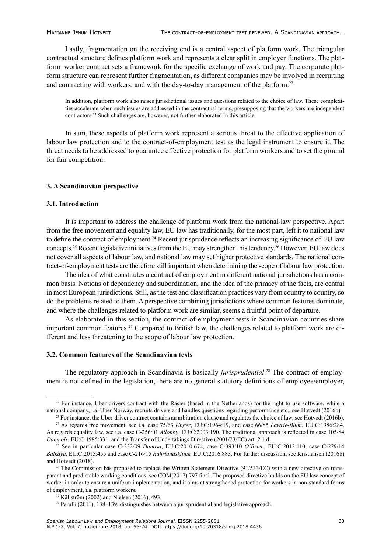Lastly, fragmentation on the receiving end is a central aspect of platform work. The triangular contractual structure defines platform work and represents a clear split in employer functions. The platform–worker contract sets a framework for the specific exchange of work and pay. The corporate platform structure can represent further fragmentation, as different companies may be involved in recruiting and contracting with workers, and with the day-to-day management of the platform.22

In addition, platform work also raises jurisdictional issues and questions related to the choice of law. These complexities accelerate when such issues are addressed in the contractual terms, presupposing that the workers are independent contractors.23 Such challenges are, however, not further elaborated in this article.

In sum, these aspects of platform work represent a serious threat to the effective application of labour law protection and to the contract-of-employment test as the legal instrument to ensure it. The threat needs to be addressed to guarantee effective protection for platform workers and to set the ground for fair competition.

#### **3. A Scandinavian perspective**

#### **3.1. Introduction**

It is important to address the challenge of platform work from the national-law perspective. Apart from the free movement and equality law, EU law has traditionally, for the most part, left it to national law to define the contract of employment.<sup>24</sup> Recent jurisprudence reflects an increasing significance of EU law concepts.25 Recent legislative initiatives from the EU may strengthen this tendency.26 However, EU law does not cover all aspects of labour law, and national law may set higher protective standards. The national contract-of-employment tests are therefore still important when determining the scope of labour law protection.

The idea of what constitutes a contract of employment in different national jurisdictions has a common basis. Notions of dependency and subordination, and the idea of the primacy of the facts, are central in most European jurisdictions. Still, as the test and classification practices vary from country to country, so do the problems related to them. A perspective combining jurisdictions where common features dominate, and where the challenges related to platform work are similar, seems a fruitful point of departure.

As elaborated in this section, the contract-of-employment tests in Scandinavian countries share important common features.<sup>27</sup> Compared to British law, the challenges related to platform work are different and less threatening to the scope of labour law protection.

#### **3.2. Common features of the Scandinavian tests**

The regulatory approach in Scandinavia is basically *jurisprudential*. 28 The contract of employment is not defined in the legislation, there are no general statutory definitions of employee/employer,

<sup>&</sup>lt;sup>22</sup> For instance, Uber drivers contract with the Rasier (based in the Netherlands) for the right to use software, while a national company, i.a. Uber Norway, recruits drivers and handles questions regarding performance etc., see Hotvedt (2016b).

<sup>&</sup>lt;sup>23</sup> For instance, the Uber-driver contract contains an arbitration clause and regulates the choice of law, see Hotvedt (2016b).

<sup>24</sup> As regards free movement, see i.a. case 75/63 *Unger*, EU:C:1964:19, and case 66/85 *Lawrie-Blum*, EU:C:1986:284. As regards equality law, see i.a. case C-256/01 *Allonby*, EU:C:2003:190. The traditional approach is reflected in case 105/84 *Danmols*, EU:C:1985:331, and the Transfer of Undertakings Directive (2001/23/EC) art. 2.1.d.

<sup>25</sup> See in particular case C-232/09 *Danosa*, EU:C:2010:674, case C-393/10 *O'Brien*, EU:C:2012:110, case C-229/14 *Balkaya*, EU:C:2015:455 and case C-216/15 *Ruhrlandsklinik,* EU:C:2016:883. For further discussion, see Kristiansen (2016b) and Hotvedt (2018).<br><sup>26</sup> The Commission has proposed to replace the Written Statement Directive (91/533/EC) with a new directive on trans-

parent and predictable working conditions, see COM(2017) 797 final. The proposed directive builds on the EU law concept of worker in order to ensure a uniform implementation, and it aims at strengthened protection for workers in non-standard forms of employment, i.a. platform workers.

 $27$  Källström (2002) and Nielsen (2016), 493.

<sup>28</sup> Perulli (2011), 138–139, distinguishes between a jurisprudential and legislative approach.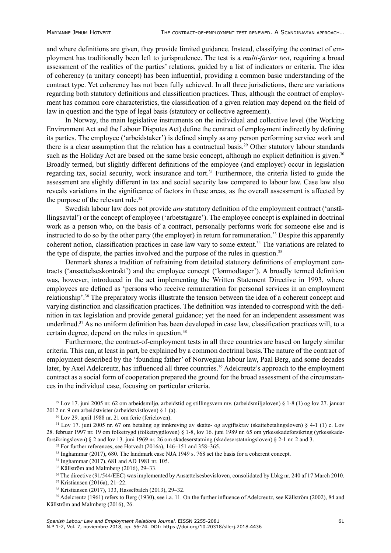and where definitions are given, they provide limited guidance. Instead, classifying the contract of employment has traditionally been left to jurisprudence. The test is a *multi-factor test*, requiring a broad assessment of the realities of the parties' relations, guided by a list of indicators or criteria. The idea of coherency (a unitary concept) has been influential, providing a common basic understanding of the contract type. Yet coherency has not been fully achieved. In all three jurisdictions, there are variations regarding both statutory definitions and classification practices. Thus, although the contract of employment has common core characteristics, the classification of a given relation may depend on the field of law in question and the type of legal basis (statutory or collective agreement).

In Norway, the main legislative instruments on the individual and collective level (the Working Environment Act and the Labour Disputes Act) define the contract of employment indirectly by defining its parties. The employee ('arbeidstaker') is defined simply as any person performing service work and there is a clear assumption that the relation has a contractual basis.29 Other statutory labour standards such as the Holiday Act are based on the same basic concept, although no explicit definition is given.<sup>30</sup> Broadly termed, but slightly different definitions of the employee (and employer) occur in legislation regarding tax, social security, work insurance and tort.<sup>31</sup> Furthermore, the criteria listed to guide the assessment are slightly different in tax and social security law compared to labour law. Case law also reveals variations in the significance of factors in these areas, as the overall assessment is affected by the purpose of the relevant rule. $32$ 

Swedish labour law does not provide *any* statutory definition of the employment contract ('anställingsavtal') or the concept of employee ('arbetstagare'). The employee concept is explained in doctrinal work as a person who, on the basis of a contract, personally performs work for someone else and is instructed to do so by the other party (the employer) in return for remuneration.33 Despite this apparently coherent notion, classification practices in case law vary to some extent.<sup>34</sup> The variations are related to the type of dispute, the parties involved and the purpose of the rules in question.<sup>35</sup>

Denmark shares a tradition of refraining from detailed statutory definitions of employment contracts ('ansættelseskontrakt') and the employee concept ('lønmodtager'). A broadly termed definition was, however, introduced in the act implementing the Written Statement Directive in 1993, where employees are defined as 'persons who receive remuneration for personal services in an employment relationship'.<sup>36</sup> The preparatory works illustrate the tension between the idea of a coherent concept and varying distinction and classification practices. The definition was intended to correspond with the definition in tax legislation and provide general guidance; yet the need for an independent assessment was underlined.37 As no uniform definition has been developed in case law, classification practices will, to a certain degree, depend on the rules in question.<sup>38</sup>

Furthermore, the contract-of-employment tests in all three countries are based on largely similar criteria. This can, at least in part, be explained by a common doctrinal basis.The nature of the contract of employment described by the 'founding father' of Norwegian labour law, Paal Berg, and some decades later, by Axel Adelcreutz, has influenced all three countries.<sup>39</sup> Adelcreutz's approach to the employment contract as a social form of cooperation prepared the ground for the broad assessment of the circumstances in the individual case, focusing on particular criteria.

<sup>29</sup> Lov 17. juni 2005 nr. 62 om arbeidsmiljø, arbeidstid og stillingsvern mv. (arbeidsmiljøloven) § 1-8 (1) og lov 27. januar 2012 nr. 9 om arbeidstvister (arbeidstvistloven) § 1 (a). 30 Lov 29. april 1988 nr. 21 om ferie (ferieloven).

<sup>31</sup> Lov 17. juni 2005 nr. 67 om betaling og innkreving av skatte- og avgiftskrav (skattebetalingsloven) § 4-1 (1) c. Lov 28. februar 1997 nr. 19 om folketrygd (folketrygdloven) § 1-8, lov 16. juni 1989 nr. 65 om yrkesskadeforsikring (yrkesskadeforsikringsloven) § 2 and lov 13. juni 1969 nr. 26 om skadeserstatning (skadeserstatningsloven) § 2-1 nr. 2 and 3.

 $32$  For further references, see Hotvedt (2016a), 146–151 and 358–365.

<sup>33</sup> Inghammar (2017), 680. The landmark case NJA 1949 s. 768 set the basis for a coherent concept.

<sup>34</sup> Inghammar (2017), 681 and AD 1981 nr. 105.

<sup>&</sup>lt;sup>35</sup> Källström and Malmberg (2016), 29-33.

<sup>&</sup>lt;sup>36</sup> The directive (91/544/EEC) was implemented by Ansættelsesbevisloven, consolidated by Lbkg nr. 240 af 17 March 2010. <sup>37</sup> Kristiansen (2016a), 21–22.

<sup>38</sup> Kristiansen (2017), 133, Hasselbalch (2013), 29–32.

<sup>39</sup> Adelcreutz (1961) refers to Berg (1930), see i.a. 11. On the further influence of Adelcreutz, see Källström (2002), 84 and Källström and Malmberg (2016), 26.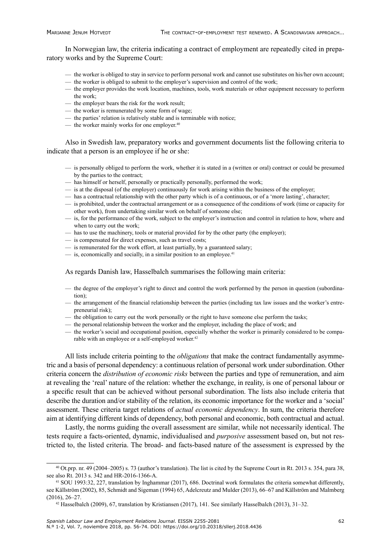In Norwegian law, the criteria indicating a contract of employment are repeatedly cited in preparatory works and by the Supreme Court:

- the worker is obliged to stay in service to perform personal work and cannot use substitutes on his/her own account;
- the worker is obliged to submit to the employer's supervision and control of the work;
- the employer provides the work location, machines, tools, work materials or other equipment necessary to perform the work;
- the employer bears the risk for the work result;
- the worker is remunerated by some form of wage;
- the parties' relation is relatively stable and is terminable with notice;
- the worker mainly works for one employer. 40

Also in Swedish law, preparatory works and government documents list the following criteria to indicate that a person is an employee if he or she:

- is personally obliged to perform the work, whether it is stated in a (written or oral) contract or could be presumed by the parties to the contract;
- has himself or herself, personally or practically personally, performed the work;
- is at the disposal (of the employer) continuously for work arising within the business of the employer;
- has a contractual relationship with the other party which is of a continuous, or of a 'more lasting', character;
- is prohibited, under the contractual arrangement or as a consequence of the conditions of work (time or capacity for other work), from undertaking similar work on behalf of someone else;
- is, for the performance of the work, subject to the employer's instruction and control in relation to how, where and when to carry out the work;
- has to use the machinery, tools or material provided for by the other party (the employer);
- is compensated for direct expenses, such as travel costs;
- is remunerated for the work effort, at least partially, by a guaranteed salary;
- $\frac{1}{2}$  is, economically and socially, in a similar position to an employee.<sup>41</sup>

#### As regards Danish law, Hasselbalch summarises the following main criteria:

- the degree of the employer's right to direct and control the work performed by the person in question (subordination);
- the arrangement of the financial relationship between the parties (including tax law issues and the worker's entrepreneurial risk);
- the obligation to carry out the work personally or the right to have someone else perform the tasks;
- the personal relationship between the worker and the employer, including the place of work; and
- the worker's social and occupational position, especially whether the worker is primarily considered to be comparable with an employee or a self-employed worker.<sup>42</sup>

All lists include criteria pointing to the *obligations* that make the contract fundamentally asymmetric and a basis of personal dependency: a continuous relation of personal work under subordination. Other criteria concern the *distribution of economic risks* between the parties and type of remuneration, and aim at revealing the 'real' nature of the relation: whether the exchange, in reality, is one of personal labour or a specific result that can be achieved without personal subordination. The lists also include criteria that describe the duration and/or stability of the relation, its economic importance for the worker and a 'social' assessment. These criteria target relations of *actual economic dependency*. In sum, the criteria therefore aim at identifying different kinds of dependency, both personal and economic, both contractual and actual.

Lastly, the norms guiding the overall assessment are similar, while not necessarily identical. The tests require a facts-oriented, dynamic, individualised and *purposive* assessment based on, but not restricted to, the listed criteria. The broad- and facts-based nature of the assessment is expressed by the

 $40$  Ot.prp. nr. 49 (2004–2005) s. 73 (author's translation). The list is cited by the Supreme Court in Rt. 2013 s. 354, para 38, see also Rt. 2013 s. 342 and HR-2016-1366-A.

<sup>41</sup> SOU 1993:32, 227, translation by Inghammar (2017), 686. Doctrinal work formulates the criteria somewhat differently, see Källström (2002), 85, Schmidt and Sigeman (1994) 65, Adelcreutz and Mulder (2013), 66–67 and Källström and Malmberg (2016), 26–27.

<sup>42</sup> Hasselbalch (2009), 67, translation by Kristiansen (2017), 141. See similarly Hasselbalch (2013), 31–32.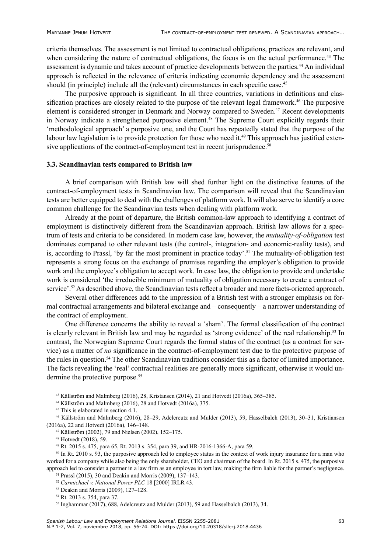criteria themselves. The assessment is not limited to contractual obligations, practices are relevant, and when considering the nature of contractual obligations, the focus is on the actual performance.<sup>43</sup> The assessment is dynamic and takes account of practice developments between the parties.<sup>44</sup> An individual approach is reflected in the relevance of criteria indicating economic dependency and the assessment should (in principle) include all the (relevant) circumstances in each specific case.<sup>45</sup>

The purposive approach is significant. In all three countries, variations in definitions and classification practices are closely related to the purpose of the relevant legal framework.<sup>46</sup> The purposive element is considered stronger in Denmark and Norway compared to Sweden.<sup>47</sup> Recent developments in Norway indicate a strengthened purposive element.<sup>48</sup> The Supreme Court explicitly regards their 'methodological approach' a purposive one, and the Court has repeatedly stated that the purpose of the labour law legislation is to provide protection for those who need it.<sup>49</sup> This approach has justified extensive applications of the contract-of-employment test in recent jurisprudence.<sup>50</sup>

#### **3.3. Scandinavian tests compared to British law**

A brief comparison with British law will shed further light on the distinctive features of the contract-of-employment tests in Scandinavian law. The comparison will reveal that the Scandinavian tests are better equipped to deal with the challenges of platform work. It will also serve to identify a core common challenge for the Scandinavian tests when dealing with platform work.

Already at the point of departure, the British common-law approach to identifying a contract of employment is distinctively different from the Scandinavian approach. British law allows for a spectrum of tests and criteria to be considered. In modern case law, however, the *mutuality-of-obligation* test dominates compared to other relevant tests (the control-, integration- and economic-reality tests), and is, according to Prassl, 'by far the most prominent in practice today'.<sup>51</sup> The mutuality-of-obligation test represents a strong focus on the exchange of promises regarding the employer's obligation to provide work and the employee's obligation to accept work. In case law, the obligation to provide and undertake work is considered 'the irreducible minimum of mutuality of obligation necessary to create a contract of service'.<sup>52</sup> As described above, the Scandinavian tests reflect a broader and more facts-oriented approach.

Several other differences add to the impression of a British test with a stronger emphasis on formal contractual arrangements and bilateral exchange and – consequently – a narrower understanding of the contract of employment.

One difference concerns the ability to reveal a 'sham'. The formal classification of the contract is clearly relevant in British law and may be regarded as 'strong evidence' of the real relationship.<sup>53</sup> In contrast, the Norwegian Supreme Court regards the formal status of the contract (as a contract for service) as a matter of *no* significance in the contract-of-employment test due to the protective purpose of the rules in question.<sup>54</sup> The other Scandinavian traditions consider this as a factor of limited importance. The facts revealing the 'real' contractual realities are generally more significant, otherwise it would undermine the protective purpose.<sup>55</sup>

<sup>50</sup> In Rt. 2010 s. 93, the purposive approach led to employee status in the context of work injury insurance for a man who worked for a company while also being the only shareholder, CEO and chairman of the board. In Rt. 2015 s. 475, the purposive approach led to consider a partner in a law firm as an employee in tort law, making the firm liable for the partner's negligence.

<sup>53</sup> Deakin and Morris (2009), 127–128.

<sup>43</sup> Källström and Malmberg (2016), 28, Kristansen (2014), 21 and Hotvedt (2016a), 365–385.

<sup>44</sup> Källström and Malmberg (2016), 28 and Hotvedt (2016a), 375.

<sup>&</sup>lt;sup>45</sup> This is elaborated in section 4.1.

<sup>46</sup> Källström and Malmberg (2016), 28–29, Adelcreutz and Mulder (2013), 59, Hasselbalch (2013), 30–31, Kristiansen (2016a), 22 and Hotvedt (2016a), 146–148.

<sup>47</sup> Källström (2002), 79 and Nielsen (2002), 152–175.

<sup>48</sup> Hotvedt (2018), 59.

<sup>49</sup> Rt. 2015 s. 475, para 65, Rt. 2013 s. 354, para 39, and HR-2016-1366-A, para 59.

<sup>51</sup> Prassl (2015), 30 and Deakin and Morris (2009), 137–143.

<sup>52</sup> *Carmichael v. National Power PLC* 18 [2000] IRLR 43.

<sup>54</sup> Rt. 2013 s. 354, para 37.

 $55$  Inghammar (2017), 688, Adelcreutz and Mulder (2013), 59 and Hasselbalch (2013), 34.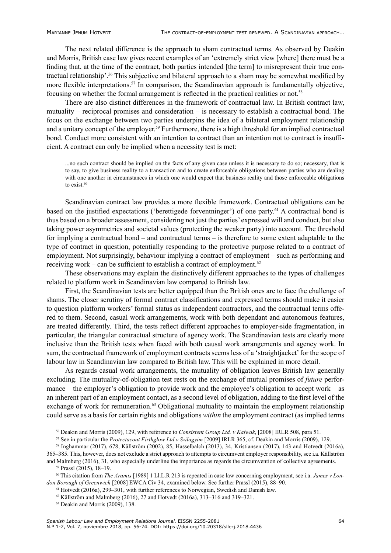The next related difference is the approach to sham contractual terms. As observed by Deakin and Morris, British case law gives recent examples of an 'extremely strict view [where] there must be a finding that, at the time of the contract, both parties intended [the term] to misrepresent their true contractual relationship'.56 This subjective and bilateral approach to a sham may be somewhat modified by more flexible interpretations.<sup>57</sup> In comparison, the Scandinavian approach is fundamentally objective, focusing on whether the formal arrangement is reflected in the practical realities or not.<sup>58</sup>

There are also distinct differences in the framework of contractual law. In British contract law, mutuality – reciprocal promises and consideration – is necessary to establish a contractual bond. The focus on the exchange between two parties underpins the idea of a bilateral employment relationship and a unitary concept of the employer.<sup>59</sup> Furthermore, there is a high threshold for an implied contractual bond. Conduct more consistent with an intention to contract than an intention not to contract is insufficient. A contract can only be implied when a necessity test is met:

...no such contract should be implied on the facts of any given case unless it is necessary to do so; necessary, that is to say, to give business reality to a transaction and to create enforceable obligations between parties who are dealing with one another in circumstances in which one would expect that business reality and those enforceable obligations to exist.<sup>60</sup>

Scandinavian contract law provides a more flexible framework. Contractual obligations can be based on the justified expectations ('berettigede forventninger') of one party.<sup>61</sup> A contractual bond is thus based on a broader assessment, considering not just the parties' expressed will and conduct, but also taking power asymmetries and societal values (protecting the weaker party) into account. The threshold for implying a contractual bond – and contractual terms – is therefore to some extent adaptable to the type of contract in question, potentially responding to the protective purpose related to a contract of employment. Not surprisingly, behaviour implying a contract of employment – such as performing and receiving work – can be sufficient to establish a contract of employment. $62$ 

These observations may explain the distinctively different approaches to the types of challenges related to platform work in Scandinavian law compared to British law.

First, the Scandinavian tests are better equipped than the British ones are to face the challenge of shams. The closer scrutiny of formal contract classifications and expressed terms should make it easier to question platform workers' formal status as independent contractors, and the contractual terms offered to them. Second, casual work arrangements, work with both dependant and autonomous features, are treated differently. Third, the tests reflect different approaches to employer-side fragmentation, in particular, the triangular contractual structure of agency work. The Scandinavian tests are clearly more inclusive than the British tests when faced with both causal work arrangements and agency work. In sum, the contractual framework of employment contracts seems less of a 'straightjacket' for the scope of labour law in Scandinavian law compared to British law. This will be explained in more detail.

As regards casual work arrangements, the mutuality of obligation leaves British law generally excluding. The mutuality-of-obligation test rests on the exchange of mutual promises of *future* performance – the employer's obligation to provide work and the employee's obligation to accept work – as an inherent part of an employment contact, as a second level of obligation, adding to the first level of the exchange of work for remuneration.<sup>63</sup> Obligational mutuality to maintain the employment relationship could serve as a basis for certain rights and obligations *within* the employment contract (as implied terms

<sup>56</sup> Deakin and Morris (2009), 129, with reference to *Consistent Group Ltd. v Kalwak*, [2008] IRLR 508, para 51.

<sup>57</sup> See in particular the *Protectacoat Firthglow Ltd v Szilagyim* [2009] IRLR 365, cf. Deakin and Morris (2009), 129.

<sup>58</sup> Inghammar (2017), 678, Källström (2002), 85, Hasselbalch (2013), 34, Kristiansen (2017), 143 and Hotvedt (2016a), 365–385. This, however, does not exclude a strict approach to attempts to circumvent employer responsibility, see i.a. Källström

and Malmberg (2016), 31, who especially underline the importance as regards the circumvention of collective agreements. 59 Prassl (2015), 18–19.

<sup>60</sup> This citation from *The Aramis* [1989] 1 Ll.L.R 213 is repeated in case law concerning employment, see i.a. *James v London Borough of Greenwich* [2008] EWCA Civ 34, examined below. See further Prassl (2015), 88–90.

<sup>61</sup> Hotvedt (2016a), 299–301, with further references to Norwegian, Swedish and Danish law.

<sup>62</sup> Källström and Malmberg (2016), 27 and Hotvedt (2016a), 313–316 and 319–321.

<sup>63</sup> Deakin and Morris (2009), 138.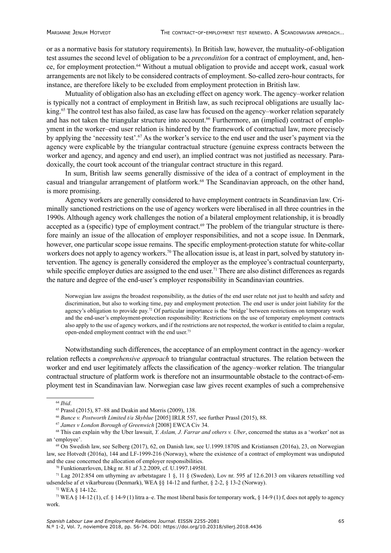or as a normative basis for statutory requirements). In British law, however, the mutuality-of-obligation test assumes the second level of obligation to be a *precondition* for a contract of employment, and, hence, for employment protection.<sup>64</sup> Without a mutual obligation to provide and accept work, casual work arrangements are not likely to be considered contracts of employment. So-called zero-hour contracts, for instance, are therefore likely to be excluded from employment protection in British law.

Mutuality of obligation also has an excluding effect on agency work. The agency–worker relation is typically not a contract of employment in British law, as such reciprocal obligations are usually lacking.<sup>65</sup> The control test has also failed, as case law has focused on the agency–worker relation separately and has not taken the triangular structure into account.<sup>66</sup> Furthermore, an (implied) contract of employment in the worker–end user relation is hindered by the framework of contractual law, more precisely by applying the 'necessity test'.<sup>67</sup> As the worker's service to the end user and the user's payment via the agency were explicable by the triangular contractual structure (genuine express contracts between the worker and agency, and agency and end user), an implied contract was not justified as necessary. Paradoxically, the court took account of the triangular contract structure in this regard.

In sum, British law seems generally dismissive of the idea of a contract of employment in the casual and triangular arrangement of platform work.<sup>68</sup> The Scandinavian approach, on the other hand, is more promising.

Agency workers are generally considered to have employment contracts in Scandinavian law. Criminally sanctioned restrictions on the use of agency workers were liberalised in all three countries in the 1990s. Although agency work challenges the notion of a bilateral employment relationship, it is broadly accepted as a (specific) type of employment contract.<sup>69</sup> The problem of the triangular structure is therefore mainly an issue of the allocation of employer responsibilities, and not a scope issue. In Denmark, however, one particular scope issue remains. The specific employment-protection statute for white-collar workers does not apply to agency workers.<sup>70</sup> The allocation issue is, at least in part, solved by statutory intervention. The agency is generally considered the employer as the employee's contractual counterparty, while specific employer duties are assigned to the end user.<sup>71</sup> There are also distinct differences as regards the nature and degree of the end-user's employer responsibility in Scandinavian countries.

Norwegian law assigns the broadest responsibility, as the duties of the end user relate not just to health and safety and discrimination, but also to working time, pay and employment protection. The end user is under joint liability for the agency's obligation to provide pay.72 Of particular importance is the 'bridge' between restrictions on temporary work and the end-user's employment-protection responsibility: Restrictions on the use of temporary employment contracts also apply to the use of agency workers, and if the restrictions are not respected, the worker is entitled to claim a regular, open-ended employment contract with the end user.<sup>73</sup>

Notwithstanding such differences, the acceptance of an employment contract in the agency–worker relation reflects a *comprehensive approach* to triangular contractual structures. The relation between the worker and end user legitimately affects the classification of the agency–worker relation. The triangular contractual structure of platform work is therefore not an insurmountable obstacle to the contract-of-employment test in Scandinavian law. Norwegian case law gives recent examples of such a comprehensive

<sup>64</sup> *Ibid*.

<sup>65</sup> Prassl (2015), 87–88 and Deakin and Morris (2009), 138.

<sup>66</sup> *Bunce v. Postworth Limited t/a Skyblue* [2005] IRLR 557, see further Prassl (2015), 88.

<sup>67</sup> *James v London Borough of Greenwich* [2008] EWCA Civ 34.

<sup>68</sup> This can explain why the Uber lawsuit, *Y. Aslam, J. Farrar and others v. Uber*, concerned the status as a 'worker' not as an 'employee'.

<sup>69</sup> On Swedish law, see Selberg (2017), 62, on Danish law, see U.1999.1870S and Kristiansen (2016a), 23, on Norwegian law, see Hotvedt (2016a), 144 and LF-1999-216 (Norway), where the existence of a contract of employment was undisputed and the case concerned the allocation of employer responsibilities.

<sup>70</sup> Funktionærloven, Lbkg nr. 81 af 3.2.2009, cf. U.1997.1495H.

<sup>71</sup> Lag 2012:854 om uthyrning av arbetstagare 1 §, 11 § (Sweden), Lov nr. 595 af 12.6.2013 om vikarers retsstilling ved udsendelse af et vikarbureau (Denmark), WEA §§ 14-12 and further, § 2-2, § 13-2 (Norway).

<sup>72</sup> WEA § 14-12c.

<sup>73</sup> WEA § 14-12 (1), cf. § 14-9 (1) litra a–e. The most liberal basis for temporary work, § 14-9 (1) f, does not apply to agency work.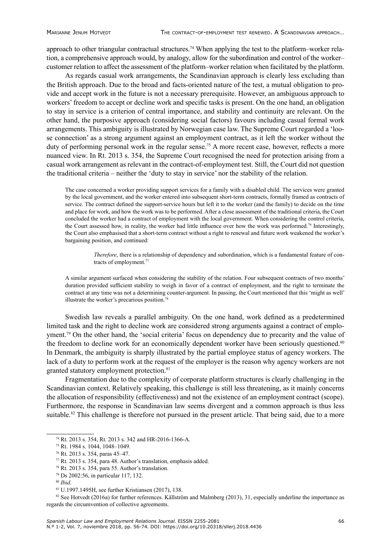approach to other triangular contractual structures.<sup>74</sup> When applying the test to the platform–worker relation, a comprehensive approach would, by analogy, allow for the subordination and control of the worker– customer relation to affect the assessment of the platform–worker relation when facilitated by the platform.

As regards casual work arrangements, the Scandinavian approach is clearly less excluding than the British approach. Due to the broad and facts-oriented nature of the test, a mutual obligation to provide and accept work in the future is not a necessary prerequisite. However, an ambiguous approach to workers' freedom to accept or decline work and specific tasks is present. On the one hand, an obligation to stay in service is a criterion of central importance, and stability and continuity are relevant. On the other hand, the purposive approach (considering social factors) favours including casual formal work arrangements. This ambiguity is illustrated by Norwegian case law. The Supreme Court regarded a 'loose connection' as a strong argument against an employment contract, as it left the worker without the duty of performing personal work in the regular sense.<sup>75</sup> A more recent case, however, reflects a more nuanced view. In Rt. 2013 s. 354, the Supreme Court recognised the need for protection arising from a casual work arrangement as relevant in the contract-of-employment test. Still, the Court did not question the traditional criteria – neither the 'duty to stay in service' nor the stability of the relation.

The case concerned a worker providing support services for a family with a disabled child. The services were granted by the local government, and the worker entered into subsequent short-term contracts, formally framed as contracts of service. The contract defined the support-service hours but left it to the worker (and the family) to decide on the time and place for work, and how the work was to be performed. After a close assessment of the traditional criteria, the Court concluded the worker had a contract of employment with the local government. When considering the control criteria, the Court assessed how, in reality, the worker had little influence over how the work was performed.<sup>76</sup> Interestingly, the Court also emphasised that a short-term contract without a right to renewal and future work weakened the worker's bargaining position, and continued:

> *Therefore*, there is a relationship of dependency and subordination, which is a fundamental feature of contracts of employment.<sup>77</sup>

A similar argument surfaced when considering the stability of the relation. Four subsequent contracts of two months' duration provided sufficient stability to weigh in favor of a contract of employment, and the right to terminate the contract at any time was not a determining counter-argument. In passing, the Court mentioned that this 'might as well' illustrate the worker's precarious position.<sup>78</sup>

Swedish law reveals a parallel ambiguity. On the one hand, work defined as a predetermined limited task and the right to decline work are considered strong arguments against a contract of employment.79 On the other hand, the 'social criteria' focus on dependency due to precarity and the value of the freedom to decline work for an economically dependent worker have been seriously questioned.<sup>80</sup> In Denmark, the ambiguity is sharply illustrated by the partial employee status of agency workers. The lack of a duty to perform work at the request of the employer is the reason why agency workers are not granted statutory employment protection.<sup>81</sup>

Fragmentation due to the complexity of corporate platform structures is clearly challenging in the Scandinavian context. Relatively speaking, this challenge is still less threatening, as it mainly concerns the allocation of responsibility (effectiveness) and not the existence of an employment contract (scope). Furthermore, the response in Scandinavian law seems divergent and a common approach is thus less suitable.<sup>82</sup> This challenge is therefore not pursued in the present article. That being said, due to a more

 $82$  See Hotvedt (2016a) for further references. Källström and Malmberg (2013), 31, especially underline the importance as regards the circumvention of collective agreements.

<sup>74</sup> Rt. 2013 s. 354, Rt. 2013 s. 342 and HR-2016-1366-A.

<sup>75</sup> Rt. 1984 s. 1044, 1048–1049.

<sup>76</sup> Rt. 2013 s. 354, paras 45–47.

<sup>&</sup>lt;sup>77</sup> Rt. 2013 s. 354, para 48. Author's translation, emphasis added.

<sup>78</sup> Rt. 2013 s. 354, para 55. Author's translation.

<sup>79</sup> Ds 2002:56, in particular 117, 132.

<sup>80</sup> *Ibid*.

<sup>81</sup> U.1997.1495H, see further Kristiansen (2017), 138.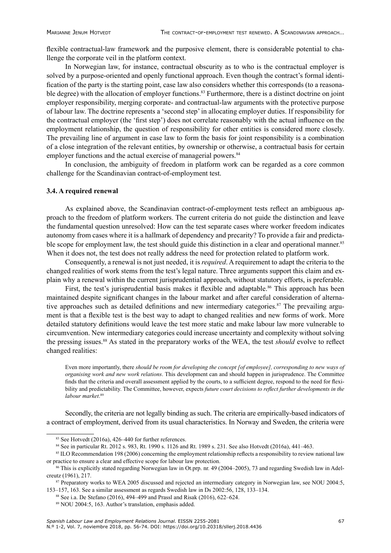flexible contractual-law framework and the purposive element, there is considerable potential to challenge the corporate veil in the platform context.

In Norwegian law, for instance, contractual obscurity as to who is the contractual employer is solved by a purpose-oriented and openly functional approach. Even though the contract's formal identification of the party is the starting point, case law also considers whether this corresponds (to a reasonable degree) with the allocation of employer functions.<sup>83</sup> Furthermore, there is a distinct doctrine on joint employer responsibility, merging corporate- and contractual-law arguments with the protective purpose of labour law. The doctrine represents a 'second step' in allocating employer duties. If responsibility for the contractual employer (the 'first step') does not correlate reasonably with the actual influence on the employment relationship, the question of responsibility for other entities is considered more closely. The prevailing line of argument in case law to form the basis for joint responsibility is a combination of a close integration of the relevant entities, by ownership or otherwise, a contractual basis for certain employer functions and the actual exercise of managerial powers.<sup>84</sup>

In conclusion, the ambiguity of freedom in platform work can be regarded as a core common challenge for the Scandinavian contract-of-employment test.

#### **3.4. A required renewal**

As explained above, the Scandinavian contract-of-employment tests reflect an ambiguous approach to the freedom of platform workers. The current criteria do not guide the distinction and leave the fundamental question unresolved: How can the test separate cases where worker freedom indicates autonomy from cases where it is a hallmark of dependency and precarity? To provide a fair and predictable scope for employment law, the test should guide this distinction in a clear and operational manner.<sup>85</sup> When it does not, the test does not really address the need for protection related to platform work.

Consequently, a renewal is not just needed, it is *required*. A requirement to adapt the criteria to the changed realities of work stems from the test's legal nature. Three arguments support this claim and explain why a renewal within the current jurisprudential approach, without statutory efforts, is preferable.

First, the test's jurisprudential basis makes it flexible and adaptable.<sup>86</sup> This approach has been maintained despite significant changes in the labour market and after careful consideration of alternative approaches such as detailed definitions and new intermediary categories.<sup>87</sup> The prevailing argument is that a flexible test is the best way to adapt to changed realities and new forms of work. More detailed statutory definitions would leave the test more static and make labour law more vulnerable to circumvention. New intermediary categories could increase uncertainty and complexity without solving the pressing issues.88 As stated in the preparatory works of the WEA, the test *should* evolve to reflect changed realities:

Even more importantly, there *should be room for developing the concept [of employee], corresponding to new ways of organising work and new work relations*. This development can and should happen in jurisprudence. The Committee finds that the criteria and overall assessment applied by the courts, to a sufficient degree, respond to the need for flexibility and predictability. The Committee, however, expects *future court decisions to reflect further developments in the labour market*. 89

Secondly, the criteria are not legally binding as such. The criteria are empirically-based indicators of a contract of employment, derived from its usual characteristics. In Norway and Sweden, the criteria were

<sup>83</sup> See Hotvedt (2016a), 426–440 for further references.

<sup>84</sup> See in particular Rt. 2012 s. 983, Rt. 1990 s. 1126 and Rt. 1989 s. 231. See also Hotvedt (2016a), 441–463.

<sup>&</sup>lt;sup>85</sup> ILO Recommendation 198 (2006) concerning the employment relationship reflects a responsibility to review national law or practice to ensure a clear and effective scope for labour law protection.

<sup>86</sup> This is explicitly stated regarding Norwegian law in Ot.prp. nr. 49 (2004–2005), 73 and regarding Swedish law in Adelcreutz (1961), 217.

<sup>87</sup> Preparatory works to WEA 2005 discussed and rejected an intermediary category in Norwegian law, see NOU 2004:5, 153–157, 163. See a similar assessment as regards Swedish law in Ds 2002:56, 128, 133–134.

<sup>88</sup> See i.a. De Stefano (2016), 494–499 and Prassl and Risak (2016), 622–624.

<sup>89</sup> NOU 2004:5, 163. Author's translation, emphasis added.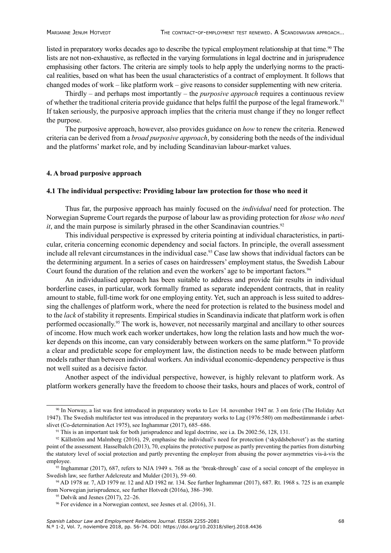listed in preparatory works decades ago to describe the typical employment relationship at that time.<sup>90</sup> The lists are not non-exhaustive, as reflected in the varying formulations in legal doctrine and in jurisprudence emphasising other factors. The criteria are simply tools to help apply the underlying norms to the practical realities, based on what has been the usual characteristics of a contract of employment. It follows that changed modes of work – like platform work – give reasons to consider supplementing with new criteria.

Thirdly – and perhaps most importantly – the *purposive approach* requires a continuous review of whether the traditional criteria provide guidance that helps fulfil the purpose of the legal framework.91 If taken seriously, the purposive approach implies that the criteria must change if they no longer reflect the purpose.

The purposive approach, however, also provides guidance on *how* to renew the criteria. Renewed criteria can be derived from a *broad purposive approach*, by considering both the needs of the individual and the platforms' market role, and by including Scandinavian labour-market values.

#### **4. A broad purposive approach**

#### **4.1 The individual perspective: Providing labour law protection for those who need it**

Thus far, the purposive approach has mainly focused on the *individual* need for protection. The Norwegian Supreme Court regards the purpose of labour law as providing protection for *those who need it*, and the main purpose is similarly phrased in the other Scandinavian countries.<sup>92</sup>

This individual perspective is expressed by criteria pointing at individual characteristics, in particular, criteria concerning economic dependency and social factors. In principle, the overall assessment include all relevant circumstances in the individual case.<sup>93</sup> Case law shows that individual factors can be the determining argument. In a series of cases on hairdressers' employment status, the Swedish Labour Court found the duration of the relation and even the workers' age to be important factors.<sup>94</sup>

An individualised approach has been suitable to address and provide fair results in individual borderline cases, in particular, work formally framed as separate independent contracts, that in reality amount to stable, full-time work for one employing entity. Yet, such an approach is less suited to addressing the challenges of platform work, where the need for protection is related to the business model and to the *lack* of stability it represents. Empirical studies in Scandinavia indicate that platform work is often performed occasionally.<sup>95</sup> The work is, however, not necessarily marginal and ancillary to other sources of income. How much work each worker undertakes, how long the relation lasts and how much the worker depends on this income, can vary considerably between workers on the same platform.<sup>96</sup> To provide a clear and predictable scope for employment law, the distinction needs to be made between platform models rather than between individual workers. An individual economic-dependency perspective is thus not well suited as a decisive factor.

Another aspect of the individual perspective, however, is highly relevant to platform work. As platform workers generally have the freedom to choose their tasks, hours and places of work, control of

<sup>90</sup> In Norway, a list was first introduced in preparatory works to Lov 14. november 1947 nr. 3 om ferie (The Holiday Act 1947). The Swedish multifactor test was introduced in the preparatory works to Lag (1976:580) om medbestämmande i arbetslivet (Co-determination Act 1975), see Inghammar (2017), 685–686. <sup>91</sup> This is an important task for both jurisprudence and legal doctrine, see i.a. Ds 2002:56, 128, 131.

 $92$  Källström and Malmberg (2016), 29, emphasise the individual's need for protection ('skyddsbehovet') as the starting point of the assessment. Hasselbalch (2013), 70, explains the protective purpose as partly preventing the parties from disturbing the statutory level of social protection and partly preventing the employer from abusing the power asymmetries vis-à-vis the employee.

 $93$  Inghammar (2017), 687, refers to NJA 1949 s. 768 as the 'break-through' case of a social concept of the employee in Swedish law, see further Adelcreutz and Mulder (2013), 59–60.

<sup>94</sup> AD 1978 nr. 7, AD 1979 nr. 12 and AD 1982 nr. 134. See further Inghammar (2017), 687. Rt. 1968 s. 725 is an example from Norwegian jurisprudence, see further Hotvedt (2016a), 386–390.

<sup>95</sup> Dølvik and Jesnes (2017), 22–26.

<sup>96</sup> For evidence in a Norwegian context, see Jesnes et al. (2016), 31.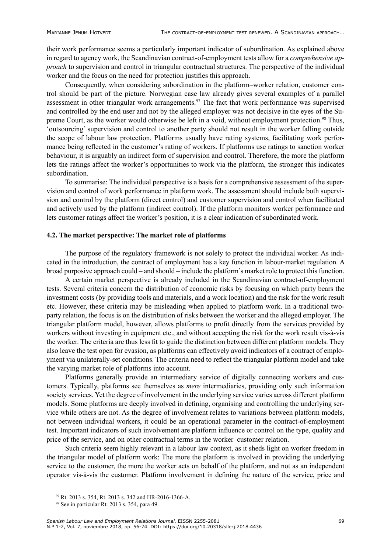their work performance seems a particularly important indicator of subordination. As explained above in regard to agency work, the Scandinavian contract-of-employment tests allow for a *comprehensive approach* to supervision and control in triangular contractual structures. The perspective of the individual worker and the focus on the need for protection justifies this approach.

Consequently, when considering subordination in the platform–worker relation, customer control should be part of the picture. Norwegian case law already gives several examples of a parallel assessment in other triangular work arrangements.<sup>97</sup> The fact that work performance was supervised and controlled by the end user and not by the alleged employer was not decisive in the eyes of the Supreme Court, as the worker would otherwise be left in a void, without employment protection.<sup>98</sup> Thus, 'outsourcing' supervision and control to another party should not result in the worker falling outside the scope of labour law protection. Platforms usually have rating systems, facilitating work performance being reflected in the customer's rating of workers. If platforms use ratings to sanction worker behaviour, it is arguably an indirect form of supervision and control. Therefore, the more the platform lets the ratings affect the worker's opportunities to work via the platform, the stronger this indicates subordination.

To summarise: The individual perspective is a basis for a comprehensive assessment of the supervision and control of work performance in platform work. The assessment should include both supervision and control by the platform (direct control) and customer supervision and control when facilitated and actively used by the platform (indirect control). If the platform monitors worker performance and lets customer ratings affect the worker's position, it is a clear indication of subordinated work.

#### **4.2. The market perspective: The market role of platforms**

The purpose of the regulatory framework is not solely to protect the individual worker. As indicated in the introduction, the contract of employment has a key function in labour-market regulation. A broad purposive approach could – and should – include the platform's market role to protect this function.

A certain market perspective is already included in the Scandinavian contract-of-employment tests. Several criteria concern the distribution of economic risks by focusing on which party bears the investment costs (by providing tools and materials, and a work location) and the risk for the work result etc. However, these criteria may be misleading when applied to platform work. In a traditional twoparty relation, the focus is on the distribution of risks between the worker and the alleged employer. The triangular platform model, however, allows platforms to profit directly from the services provided by workers without investing in equipment etc., and without accepting the risk for the work result vis-à-vis the worker. The criteria are thus less fit to guide the distinction between different platform models. They also leave the test open for evasion, as platforms can effectively avoid indicators of a contract of employment via unilaterally-set conditions. The criteria need to reflect the triangular platform model and take the varying market role of platforms into account.

Platforms generally provide an intermediary service of digitally connecting workers and customers. Typically, platforms see themselves as *mere* intermediaries, providing only such information society services. Yet the degree of involvement in the underlying service varies across different platform models. Some platforms are deeply involved in defining, organising and controlling the underlying service while others are not. As the degree of involvement relates to variations between platform models, not between individual workers, it could be an operational parameter in the contract-of-employment test. Important indicators of such involvement are platform influence or control on the type, quality and price of the service, and on other contractual terms in the worker–customer relation.

Such criteria seem highly relevant in a labour law context, as it sheds light on worker freedom in the triangular model of platform work: The more the platform is involved in providing the underlying service to the customer, the more the worker acts on behalf of the platform, and not as an independent operator vis-à-vis the customer. Platform involvement in defining the nature of the service, price and

<sup>97</sup> Rt. 2013 s. 354, Rt. 2013 s. 342 and HR-2016-1366-A.

<sup>98</sup> See in particular Rt. 2013 s. 354, para 49.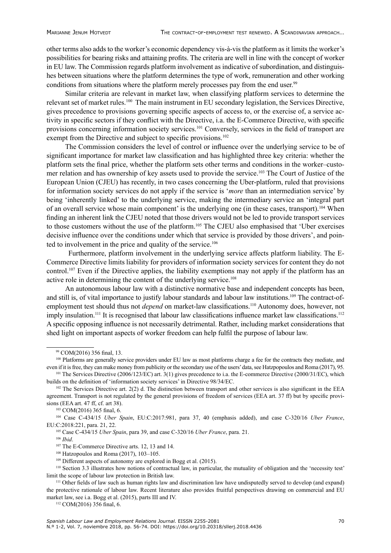other terms also adds to the worker's economic dependency vis-à-vis the platform as it limits the worker's possibilities for bearing risks and attaining profits. The criteria are well in line with the concept of worker in EU law. The Commission regards platform involvement as indicative of subordination, and distinguishes between situations where the platform determines the type of work, remuneration and other working conditions from situations where the platform merely processes pay from the end user.<sup>99</sup>

Similar criteria are relevant in market law, when classifying platform services to determine the relevant set of market rules.100 The main instrument in EU secondary legislation, the Services Directive, gives precedence to provisions governing specific aspects of access to, or the exercise of, a service activity in specific sectors if they conflict with the Directive, i.a. the E-Commerce Directive, with specific provisions concerning information society services.101 Conversely, services in the field of transport are exempt from the Directive and subject to specific provisions.<sup>102</sup>

The Commission considers the level of control or influence over the underlying service to be of significant importance for market law classification and has highlighted three key criteria: whether the platform sets the final price, whether the platform sets other terms and conditions in the worker–customer relation and has ownership of key assets used to provide the service.103 The Court of Justice of the European Union (CJEU) has recently, in two cases concerning the Uber-platform, ruled that provisions for information society services do not apply if the service is '*more* than an intermediation service' by being 'inherently linked' to the underlying service, making the intermediary service an 'integral part of an overall service whose main component' is the underlying one (in these cases, transport).<sup>104</sup> When finding an inherent link the CJEU noted that those drivers would not be led to provide transport services to those customers without the use of the platform.<sup>105</sup> The CJEU also emphasised that 'Uber exercises decisive influence over the conditions under which that service is provided by those drivers', and pointed to involvement in the price and quality of the service.<sup>106</sup>

Furthermore, platform involvement in the underlying service affects platform liability. The E-Commerce Directive limits liability for providers of information society services for content they do not control.<sup>107</sup> Even if the Directive applies, the liability exemptions may not apply if the platform has an active role in determining the content of the underlying service.<sup>108</sup>

An autonomous labour law with a distinctive normative base and independent concepts has been, and still is, of vital importance to justify labour standards and labour law institutions.<sup>109</sup> The contract-ofemployment test should thus not *depend* on market-law classifications.<sup>110</sup> Autonomy does, however, not imply insulation.<sup>111</sup> It is recognised that labour law classifications influence market law classifications.<sup>112</sup> A specific opposing influence is not necessarily detrimental. Rather, including market considerations that shed light on important aspects of worker freedom can help fulfil the purpose of labour law.

<sup>106</sup> *Ibid*.

<sup>112</sup> COM(2016) 356 final, 6.

<sup>99</sup> COM(2016) 356 final, 13.

<sup>&</sup>lt;sup>100</sup> Platforms are generally service providers under EU law as most platforms charge a fee for the contracts they mediate, and even if it is free, they can make money from publicity or the secondary use of the users' data, see Hatzpopoulos and Roma (2017), 95.<br><sup>101</sup> The Services Directive (2006/123/EC) art. 3(1) gives precedence to i.a. the E-comm

builds on the definition of 'information society services' in Directive 98/34/EC.

<sup>&</sup>lt;sup>102</sup> The Services Directive art. 2(2) d. The distinction between transport and other services is also significant in the EEA agreement. Transport is not regulated by the general provisions of freedom of services (EEA art. 37 ff) but by specific provisions (EEA art. 47 ff, cf. art 38). 103 COM(2016) 365 final, 6. 104 Case C-434/15 *Uber Spain*, EU:C:2017:981, para 37, 40 (emphasis added), and case C-320/16 *Uber France*,

EU:C:2018:221, para. 21, 22.

<sup>105</sup> Case C-434/15 *Uber Spain*, para 39, and case C-320/16 *Uber France*, para. 21.

<sup>&</sup>lt;sup>107</sup> The E-Commerce Directive arts. 12, 13 and 14.

<sup>108</sup> Hatzopoulos and Roma (2017), 103–105.

 $109$  Different aspects of autonomy are explored in Bogg et al. (2015).

<sup>110</sup> Section 3.3 illustrates how notions of contractual law, in particular, the mutuality of obligation and the 'necessity test' limit the scope of labour law protection in British law.

<sup>111</sup> Other fields of law such as human rights law and discrimination law have undisputedly served to develop (and expand) the protective rationale of labour law. Recent literature also provides fruitful perspectives drawing on commercial and EU market law, see i.a. Bogg et al. (2015), parts III and IV.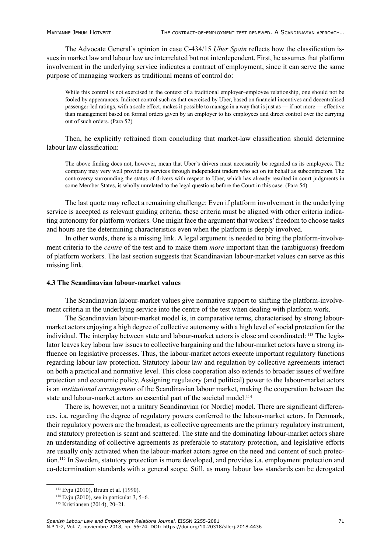The Advocate General's opinion in case C-434/15 *Uber Spain* reflects how the classification issues in market law and labour law are interrelated but not interdependent. First, he assumes that platform involvement in the underlying service indicates a contract of employment, since it can serve the same purpose of managing workers as traditional means of control do:

While this control is not exercised in the context of a traditional employer–employee relationship, one should not be fooled by appearances. Indirect control such as that exercised by Uber, based on financial incentives and decentralised passenger-led ratings, with a scale effect, makes it possible to manage in a way that is just as — if not more — effective than management based on formal orders given by an employer to his employees and direct control over the carrying out of such orders. (Para 52)

Then, he explicitly refrained from concluding that market-law classification should determine labour law classification:

The above finding does not, however, mean that Uber's drivers must necessarily be regarded as its employees. The company may very well provide its services through independent traders who act on its behalf as subcontractors. The controversy surrounding the status of drivers with respect to Uber, which has already resulted in court judgments in some Member States, is wholly unrelated to the legal questions before the Court in this case. (Para 54)

The last quote may reflect a remaining challenge: Even if platform involvement in the underlying service is accepted as relevant guiding criteria, these criteria must be aligned with other criteria indicating autonomy for platform workers. One might face the argument that workers' freedom to choose tasks and hours are the determining characteristics even when the platform is deeply involved.

In other words, there is a missing link. A legal argument is needed to bring the platform-involvement criteria to the *centre* of the test and to make them *more* important than the (ambiguous) freedom of platform workers. The last section suggests that Scandinavian labour-market values can serve as this missing link.

#### **4.3 The Scandinavian labour-market values**

The Scandinavian labour-market values give normative support to shifting the platform-involvement criteria in the underlying service into the centre of the test when dealing with platform work.

The Scandinavian labour-market model is, in comparative terms, characterised by strong labourmarket actors enjoying a high degree of collective autonomy with a high level of social protection for the individual. The interplay between state and labour-market actors is close and coordinated: 113 The legislator leaves key labour law issues to collective bargaining and the labour-market actors have a strong influence on legislative processes. Thus, the labour-market actors execute important regulatory functions regarding labour law protection. Statutory labour law and regulation by collective agreements interact on both a practical and normative level. This close cooperation also extends to broader issues of welfare protection and economic policy. Assigning regulatory (and political) power to the labour-market actors is an *institutional arrangement* of the Scandinavian labour market, making the cooperation between the state and labour-market actors an essential part of the societal model.<sup>114</sup>

There is, however, not a unitary Scandinavian (or Nordic) model. There are significant differences, i.a. regarding the degree of regulatory powers conferred to the labour-market actors. In Denmark, their regulatory powers are the broadest, as collective agreements are the primary regulatory instrument, and statutory protection is scant and scattered. The state and the dominating labour-market actors share an understanding of collective agreements as preferable to statutory protection, and legislative efforts are usually only activated when the labour-market actors agree on the need and content of such protection.<sup>115</sup> In Sweden, statutory protection is more developed, and provides i.a. employment protection and co-determination standards with a general scope. Still, as many labour law standards can be derogated

<sup>113</sup> Evju (2010), Bruun et al. (1990).

 $114$  Evju (2010), see in particular 3, 5–6.

<sup>115</sup> Kristiansen (2014), 20–21.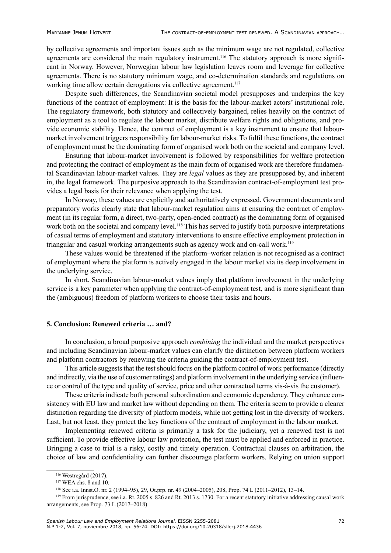by collective agreements and important issues such as the minimum wage are not regulated, collective agreements are considered the main regulatory instrument.<sup>116</sup> The statutory approach is more significant in Norway. However, Norwegian labour law legislation leaves room and leverage for collective agreements. There is no statutory minimum wage, and co-determination standards and regulations on working time allow certain derogations via collective agreement.<sup>117</sup>

Despite such differences, the Scandinavian societal model presupposes and underpins the key functions of the contract of employment: It is the basis for the labour-market actors' institutional role. The regulatory framework, both statutory and collectively bargained, relies heavily on the contract of employment as a tool to regulate the labour market, distribute welfare rights and obligations, and provide economic stability. Hence, the contract of employment is a key instrument to ensure that labourmarket involvement triggers responsibility for labour-market risks. To fulfil these functions, the contract of employment must be the dominating form of organised work both on the societal and company level.

Ensuring that labour-market involvement is followed by responsibilities for welfare protection and protecting the contract of employment as the main form of organised work are therefore fundamental Scandinavian labour-market values. They are *legal* values as they are presupposed by, and inherent in, the legal framework. The purposive approach to the Scandinavian contract-of-employment test provides a legal basis for their relevance when applying the test.

In Norway, these values are explicitly and authoritatively expressed. Government documents and preparatory works clearly state that labour-market regulation aims at ensuring the contract of employment (in its regular form, a direct, two-party, open-ended contract) as the dominating form of organised work both on the societal and company level.<sup>118</sup> This has served to justify both purposive interpretations of casual terms of employment and statutory interventions to ensure effective employment protection in triangular and casual working arrangements such as agency work and on-call work.<sup>119</sup>

These values would be threatened if the platform–worker relation is not recognised as a contract of employment where the platform is actively engaged in the labour market via its deep involvement in the underlying service.

In short, Scandinavian labour-market values imply that platform involvement in the underlying service is a key parameter when applying the contract-of-employment test, and is more significant than the (ambiguous) freedom of platform workers to choose their tasks and hours.

#### **5. Conclusion: Renewed criteria … and?**

In conclusion, a broad purposive approach *combining* the individual and the market perspectives and including Scandinavian labour-market values can clarify the distinction between platform workers and platform contractors by renewing the criteria guiding the contract-of-employment test.

This article suggests that the test should focus on the platform control of work performance (directly and indirectly, via the use of customer ratings) and platform involvement in the underlying service (influence or control of the type and quality of service, price and other contractual terms vis-à-vis the customer).

These criteria indicate both personal subordination and economic dependency. They enhance consistency with EU law and market law without depending on them. The criteria seem to provide a clearer distinction regarding the diversity of platform models, while not getting lost in the diversity of workers. Last, but not least, they protect the key functions of the contract of employment in the labour market.

Implementing renewed criteria is primarily a task for the judiciary, yet a renewed test is not sufficient. To provide effective labour law protection, the test must be applied and enforced in practice. Bringing a case to trial is a risky, costly and timely operation. Contractual clauses on arbitration, the choice of law and confidentiality can further discourage platform workers. Relying on union support

<sup>116</sup> Westregård (2017).

<sup>117</sup> WEA chs. 8 and 10.

<sup>118</sup> See i.a. Innst.O. nr. 2 (1994–95), 29, Ot.prp. nr. 49 (2004–2005), 208, Prop. 74 L (2011–2012), 13–14.

<sup>119</sup> From jurisprudence, see i.a. Rt. 2005 s. 826 and Rt. 2013 s. 1730. For a recent statutory initiative addressing causal work arrangements, see Prop. 73 L (2017–2018).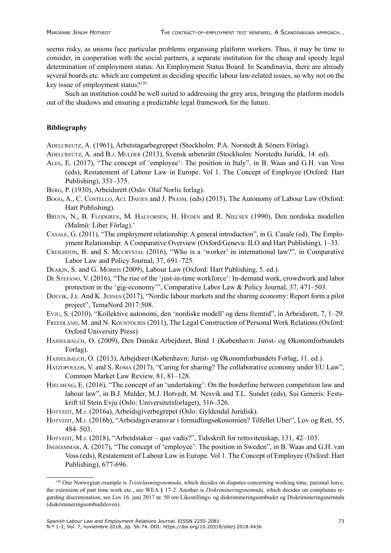seems risky, as unions face particular problems organising platform workers. Thus, it may be time to consider, in cooperation with the social partners, a separate institution for the cheap and speedy legal determination of employment status: An Employment Status Board. In Scandinavia, there are already several boards etc. which are competent in deciding specific labour law-related issues, so why not on the key issue of employment status?<sup>120</sup>

Such an institution could be well suited to addressing the grey area, bringing the platform models out of the shadows and ensuring a predictable legal framework for the future.

### **Bibliography**

Adelcreutz, A. (1961), Arbetstagarbegreppet (Stockholm: P.A. Norstedt & Söners Förlag).

ADELCREUTZ, A. and B.J. MULDER (2013), Svensk arbetsrätt (Stockholm: Norstedts Juridik, 14. ed).

- Ales, E. (2017), "The concept of 'employee': The position in Italy", in B. Waas and G.H. van Voss (eds), Restatement of Labour Law in Europe. Vol 1. The Concept of Employee (Oxford: Hart Publishing), 351–375.
- Berg, P. (1930), Arbeidsrett (Oslo: Olaf Norlis forlag).
- Bogg, A., C. Costello, Acl Davies and J. Prassl (eds) (2015), The Autonomy of Labour Law (Oxford: Hart Publishing).
- Bruun, N., B. Flodgren, M. Halvorsen, H. Hydén and R. Nielsen (1990), Den nordiska modellen (Malmö: Liber Förlag).'
- Casale, G. (2011), "The employment relationship: A general introduction", in G. Casale (ed), The Employment Relationship: A Comparative Overview (Oxford/Geneva: ILO and Hart Publishing), 1–33.
- Creighton, B. and S. Mccrystal (2016), "Who is a 'worker' in international law?", in Comparative Labor Law and Policy Journal, 37, 691–725.
- Deakin, S. and G. Morris (2009), Labour Law (Oxford: Hart Publishing, 5. ed.).
- De Stefano, V. (2016), "The rise of the 'just-in-time workforce': In-demand work, crowdwork and labor protection in the 'gig-economy'", Comparative Labor Law & Policy Journal, 37, 471–503.
- Dølvik, J.e. And K. Jesnes (2017), "Nordic labour markets and the sharing economy: Report form a pilot project", TemaNord 2017:508.
- Evju, S. (2010), "Kollektive autonomi, den 'nordiske modell' og dens fremtid", in Arbeidsrett, 7, 1–29.
- Freedland, M. and N. Kountouris (2011), The Legal Construction of Personal Work Relations (Oxford: Oxford University Press).
- Hasselbalch, O. (2009), Den Danske Arbejdsret, Bind 1 (København: Jurist- og Økonomforbundets Forlag).
- HASSELBALCH, O. (2013), Arbejdsret (København: Jurist- og Økonomforbundets Forlag, 11. ed.).
- Hatzopoulos, V. and S. Roma (2017), "Caring for sharing? The collaborative economy under EU Law", Common Market Law Review, 81, 81–128.
- HJELMENG, E. (2016), "The concept of an 'undertaking': On the borderline between competition law and labour law", in B.J. Mulder, M.J. Hotvedt, M. Nesvik and T.L. Sundet (eds), Sui Generis: Festskrift til Stein Evju (Oslo: Universitetsforlaget), 316–326.
- HOTVEDT, M.J. (2016a), Arbeidsgiverbegrepet (Oslo: Gyldendal Juridisk).
- HOTVEDT, M.J. (2016b), "Arbeidsgiveransvar i formidlingsøkonomien? Tilfellet Uber", Lov og Rett, 55, 484–503.
- HOTVEDT, M.J. (2018), "Arbeidstaker quo vadis?", Tidsskrift for rettsvitenskap, 131, 42–103.
- Inghammar, A. (2017), "The concept of 'employee': The position in Sweden", in B. Waas and G.H. van Voss (eds), Restatement of Labour Law in Europe. Vol 1. The Concept of Employee (Oxford: Hart Publishing), 677-696.

<sup>&</sup>lt;sup>120</sup> One Norwegian example is *Tvisteløsningsnemnda*, which decides on disputes concerning working time, parental leave, the extension of part time work etc., see WEA § 17-2. Another is *Diskrimineringsnemnda*, which decides on complaints regarding discrimination, see Lov 16. juni 2017 nr. 50 om Likestillings- og diskrimineringsombudet og Diskrimineringsnemnda (diskrimineringsombudsloven).